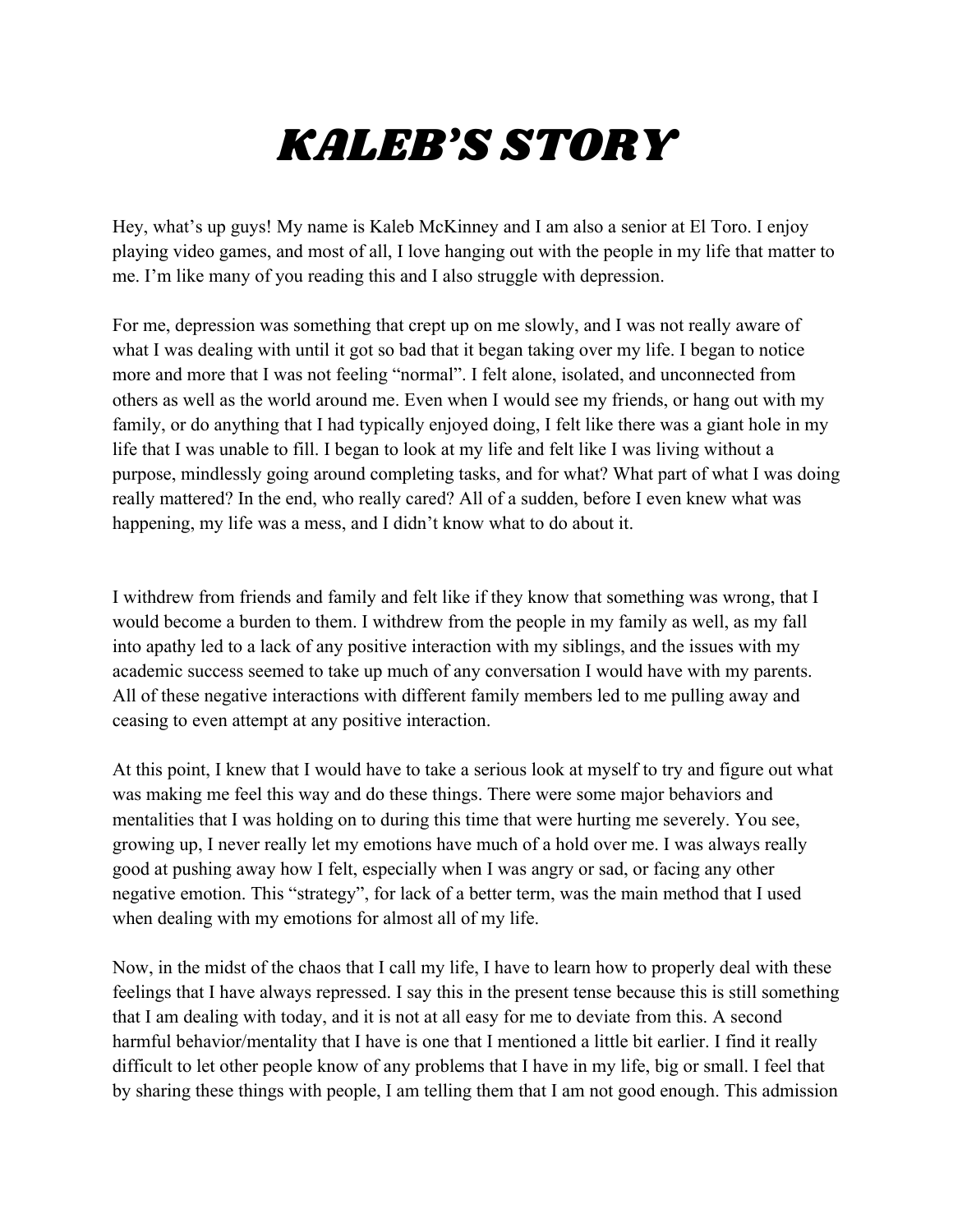## *KALEB'S STORY*

Hey, what's up guys! My name is Kaleb McKinney and I am also a senior at El Toro. I enjoy playing video games, and most of all, I love hanging out with the people in my life that matter to me. I'm like many of you reading this and I also struggle with depression.

For me, depression was something that crept up on me slowly, and I was not really aware of what I was dealing with until it got so bad that it began taking over my life. I began to notice more and more that I was not feeling "normal". I felt alone, isolated, and unconnected from others as well as the world around me. Even when I would see my friends, or hang out with my family, or do anything that I had typically enjoyed doing, I felt like there was a giant hole in my life that I was unable to fill. I began to look at my life and felt like I was living without a purpose, mindlessly going around completing tasks, and for what? What part of what I was doing really mattered? In the end, who really cared? All of a sudden, before I even knew what was happening, my life was a mess, and I didn't know what to do about it.

I withdrew from friends and family and felt like if they know that something was wrong, that I would become a burden to them. I withdrew from the people in my family as well, as my fall into apathy led to a lack of any positive interaction with my siblings, and the issues with my academic success seemed to take up much of any conversation I would have with my parents. All of these negative interactions with different family members led to me pulling away and ceasing to even attempt at any positive interaction.

At this point, I knew that I would have to take a serious look at myself to try and figure out what was making me feel this way and do these things. There were some major behaviors and mentalities that I was holding on to during this time that were hurting me severely. You see, growing up, I never really let my emotions have much of a hold over me. I was always really good at pushing away how I felt, especially when I was angry or sad, or facing any other negative emotion. This "strategy", for lack of a better term, was the main method that I used when dealing with my emotions for almost all of my life.

Now, in the midst of the chaos that I call my life, I have to learn how to properly deal with these feelings that I have always repressed. I say this in the present tense because this is still something that I am dealing with today, and it is not at all easy for me to deviate from this. A second harmful behavior/mentality that I have is one that I mentioned a little bit earlier. I find it really difficult to let other people know of any problems that I have in my life, big or small. I feel that by sharing these things with people, I am telling them that I am not good enough. This admission